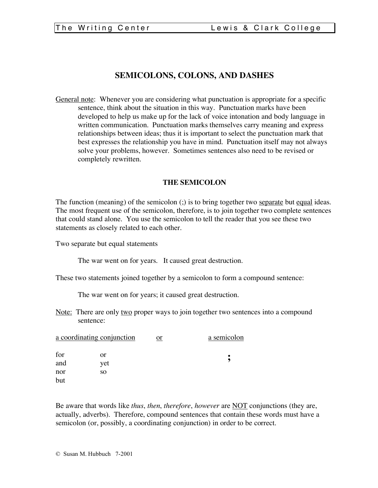# **SEMICOLONS, COLONS, AND DASHES**

General note: Whenever you are considering what punctuation is appropriate for a specific sentence, think about the situation in this way. Punctuation marks have been developed to help us make up for the lack of voice intonation and body language in written communication. Punctuation marks themselves carry meaning and express relationships between ideas; thus it is important to select the punctuation mark that best expresses the relationship you have in mind. Punctuation itself may not always solve your problems, however. Sometimes sentences also need to be revised or completely rewritten.

## **THE SEMICOLON**

The function (meaning) of the semicolon (;) is to bring together two separate but equal ideas. The most frequent use of the semicolon, therefore, is to join together two complete sentences that could stand alone. You use the semicolon to tell the reader that you see these two statements as closely related to each other.

Two separate but equal statements

The war went on for years. It caused great destruction.

These two statements joined together by a semicolon to form a compound sentence:

The war went on for years; it caused great destruction.

Note: There are only two proper ways to join together two sentences into a compound sentence:

| a coordinating conjunction |     | or | a semicolon |  |
|----------------------------|-----|----|-------------|--|
| for                        | or  |    |             |  |
| and                        | vet |    |             |  |
| nor                        | SO. |    |             |  |
| but                        |     |    |             |  |

Be aware that words like *thus*, *then*, *therefore*, *however* are NOT conjunctions (they are, actually, adverbs). Therefore, compound sentences that contain these words must have a semicolon (or, possibly, a coordinating conjunction) in order to be correct.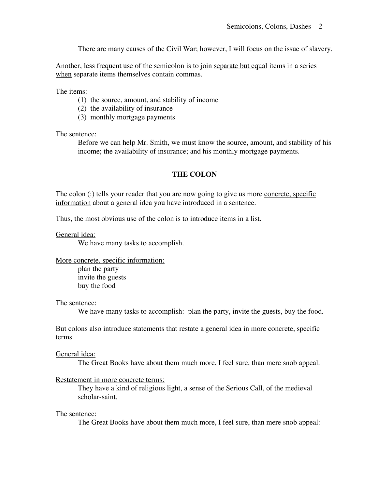There are many causes of the Civil War; however, I will focus on the issue of slavery.

Another, less frequent use of the semicolon is to join separate but equal items in a series when separate items themselves contain commas.

The items:

- (1) the source, amount, and stability of income
- (2) the availability of insurance
- (3) monthly mortgage payments

The sentence:

Before we can help Mr. Smith, we must know the source, amount, and stability of his income; the availability of insurance; and his monthly mortgage payments.

### **THE COLON**

The colon (:) tells your reader that you are now going to give us more concrete, specific information about a general idea you have introduced in a sentence.

Thus, the most obvious use of the colon is to introduce items in a list.

General idea:

We have many tasks to accomplish.

More concrete, specific information:

plan the party invite the guests buy the food

The sentence:

We have many tasks to accomplish: plan the party, invite the guests, buy the food.

But colons also introduce statements that restate a general idea in more concrete, specific terms.

#### General idea:

The Great Books have about them much more, I feel sure, than mere snob appeal.

#### Restatement in more concrete terms:

They have a kind of religious light, a sense of the Serious Call, of the medieval scholar-saint.

#### The sentence:

The Great Books have about them much more, I feel sure, than mere snob appeal: